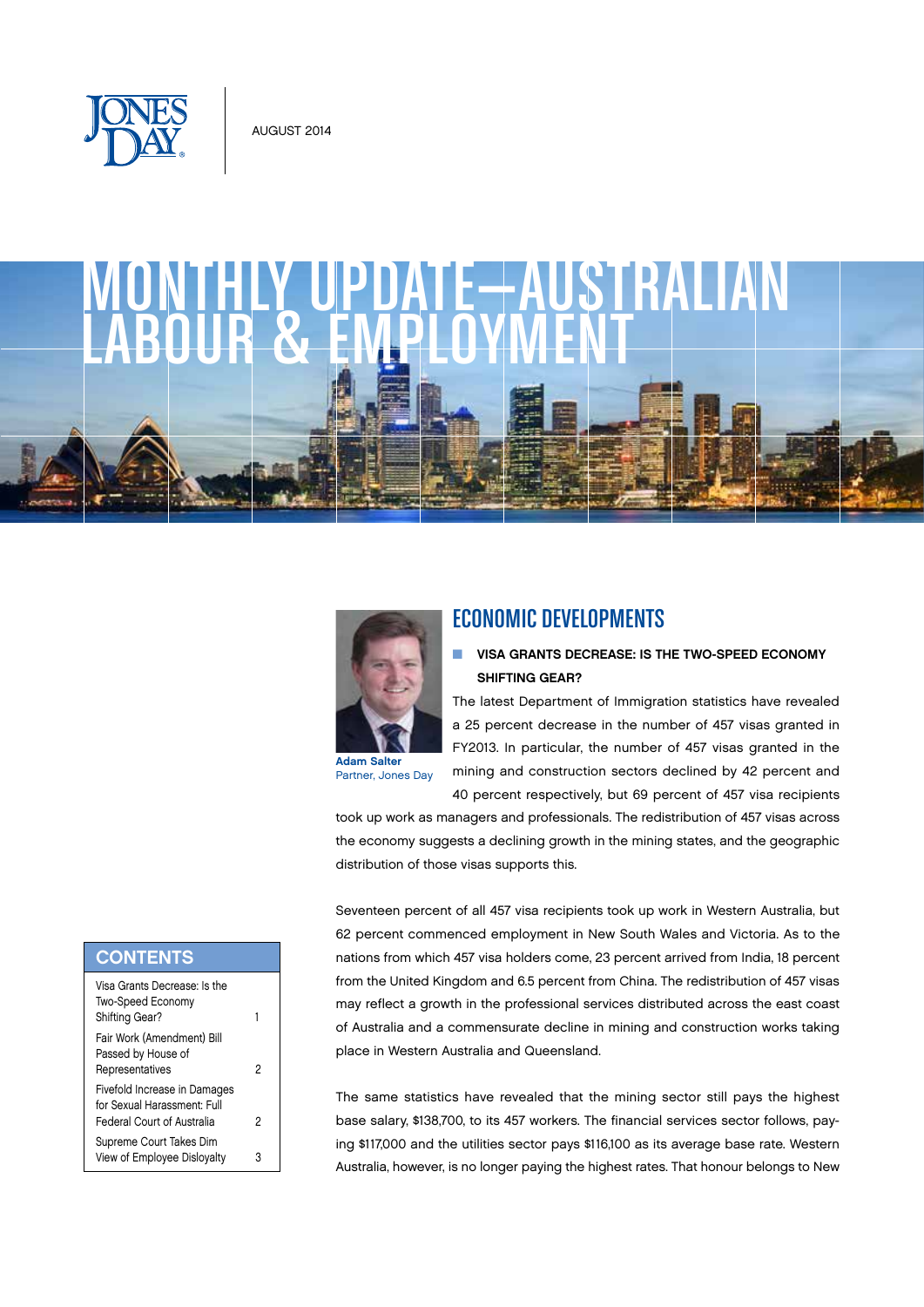

# MONTHLY UPDATE—AUSTRALIAN



Partner, Jones Day

# ECONOMIC DEVELOPMENTS

### **N VISA GRANTS DECREASE: IS THE TWO-SPEED ECONOMY** SHIFTING GEAR?

The latest Department of Immigration statistics have revealed a 25 percent decrease in the number of 457 visas granted in FY2013. In particular, the number of 457 visas granted in the mining and construction sectors declined by 42 percent and 40 percent respectively, but 69 percent of 457 visa recipients

took up work as managers and professionals. The redistribution of 457 visas across the economy suggests a declining growth in the mining states, and the geographic distribution of those visas supports this.

Seventeen percent of all 457 visa recipients took up work in Western Australia, but 62 percent commenced employment in New South Wales and Victoria. As to the nations from which 457 visa holders come, 23 percent arrived from India, 18 percent from the United Kingdom and 6.5 percent from China. The redistribution of 457 visas may reflect a growth in the professional services distributed across the east coast of Australia and a commensurate decline in mining and construction works taking place in Western Australia and Queensland.

The same statistics have revealed that the mining sector still pays the highest base salary, \$138,700, to its 457 workers. The financial services sector follows, paying \$117,000 and the utilities sector pays \$116,100 as its average base rate. Western Australia, however, is no longer paying the highest rates. That honour belongs to New

# **CONTENTS**

| Visa Grants Decrease: Is the<br>Two-Speed Economy<br>Shifting Gear?                              |   |
|--------------------------------------------------------------------------------------------------|---|
| Fair Work (Amendment) Bill<br>Passed by House of<br>Representatives                              | 2 |
| Fivefold Increase in Damages<br>for Sexual Harassment: Full<br><b>Federal Court of Australia</b> | 2 |
| Supreme Court Takes Dim<br>View of Employee Dislovalty                                           |   |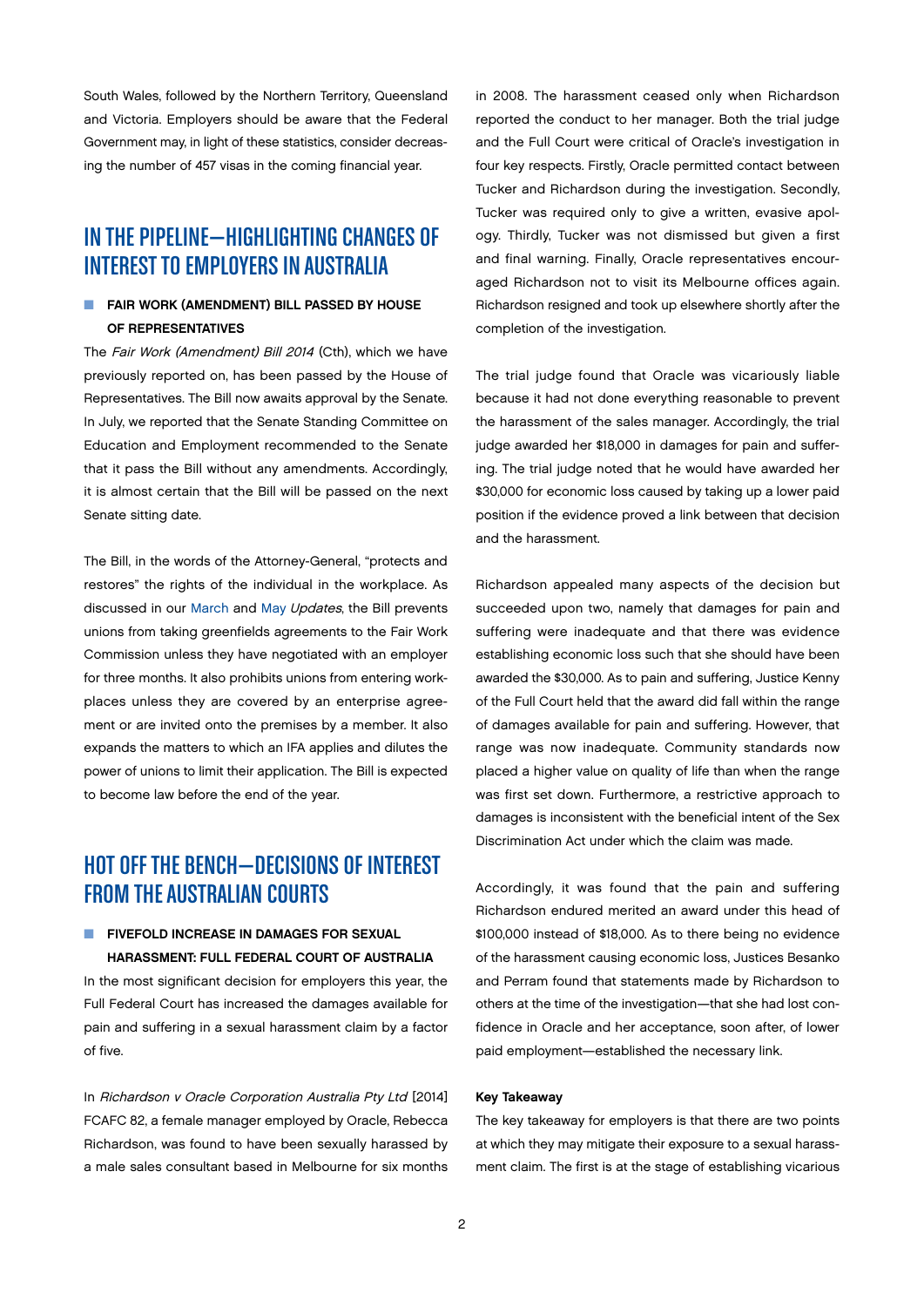<span id="page-1-0"></span>South Wales, followed by the Northern Territory, Queensland and Victoria. Employers should be aware that the Federal Government may, in light of these statistics, consider decreasing the number of 457 visas in the coming financial year.

# IN THE PIPELINE—HIGHLIGHTING CHANGES OF INTEREST TO EMPLOYERS IN AUSTRALIA

### **FAIR WORK (AMENDMENT) BILL PASSED BY HOUSE** OF REPRESENTATIVES

The Fair Work (Amendment) Bill 2014 (Cth), which we have previously reported on, has been passed by the House of Representatives. The Bill now awaits approval by the Senate. In July, we reported that the Senate Standing Committee on Education and Employment recommended to the Senate that it pass the Bill without any amendments. Accordingly, it is almost certain that the Bill will be passed on the next Senate sitting date.

The Bill, in the words of the Attorney-General, "protects and restores" the rights of the individual in the workplace. As discussed in our [March](http://www.jonesday.com/files/Publication/e2c1950f-40e1-45ee-8cd3-ad170c00b363/Presentation/PublicationAttachment/ad7d78a0-d7a7-40d5-bd10-df6a5b590683/Australian%20L%26E%20March%202014.pdf) and [May](http://www.jonesday.com/files/Publication/22bcf7e7-bc4e-4db3-a25f-ec424e291434/Presentation/PublicationAttachment/5fc56c42-ba60-458b-81b6-f5f89e389274/Australian%20L%26E%20May%202014.pdf) Updates, the Bill prevents unions from taking greenfields agreements to the Fair Work Commission unless they have negotiated with an employer for three months. It also prohibits unions from entering workplaces unless they are covered by an enterprise agreement or are invited onto the premises by a member. It also expands the matters to which an IFA applies and dilutes the power of unions to limit their application. The Bill is expected to become law before the end of the year.

# HOT OFF THE BENCH—DECISIONS OF INTEREST FROM THE AUSTRALIAN COURTS

### **N FIVEFOLD INCREASE IN DAMAGES FOR SEXUAL** HARASSMENT: FULL FEDERAL COURT OF AUSTRALIA

In the most significant decision for employers this year, the Full Federal Court has increased the damages available for pain and suffering in a sexual harassment claim by a factor of five.

In Richardson v Oracle Corporation Australia Pty Ltd [2014] FCAFC 82, a female manager employed by Oracle, Rebecca Richardson, was found to have been sexually harassed by a male sales consultant based in Melbourne for six months in 2008. The harassment ceased only when Richardson reported the conduct to her manager. Both the trial judge and the Full Court were critical of Oracle's investigation in four key respects. Firstly, Oracle permitted contact between Tucker and Richardson during the investigation. Secondly, Tucker was required only to give a written, evasive apology. Thirdly, Tucker was not dismissed but given a first and final warning. Finally, Oracle representatives encouraged Richardson not to visit its Melbourne offices again. Richardson resigned and took up elsewhere shortly after the completion of the investigation.

The trial judge found that Oracle was vicariously liable because it had not done everything reasonable to prevent the harassment of the sales manager. Accordingly, the trial judge awarded her \$18,000 in damages for pain and suffering. The trial judge noted that he would have awarded her \$30,000 for economic loss caused by taking up a lower paid position if the evidence proved a link between that decision and the harassment.

Richardson appealed many aspects of the decision but succeeded upon two, namely that damages for pain and suffering were inadequate and that there was evidence establishing economic loss such that she should have been awarded the \$30,000. As to pain and suffering, Justice Kenny of the Full Court held that the award did fall within the range of damages available for pain and suffering. However, that range was now inadequate. Community standards now placed a higher value on quality of life than when the range was first set down. Furthermore, a restrictive approach to damages is inconsistent with the beneficial intent of the Sex Discrimination Act under which the claim was made.

Accordingly, it was found that the pain and suffering Richardson endured merited an award under this head of \$100,000 instead of \$18,000. As to there being no evidence of the harassment causing economic loss, Justices Besanko and Perram found that statements made by Richardson to others at the time of the investigation—that she had lost confidence in Oracle and her acceptance, soon after, of lower paid employment—established the necessary link.

### Key Takeaway

The key takeaway for employers is that there are two points at which they may mitigate their exposure to a sexual harassment claim. The first is at the stage of establishing vicarious